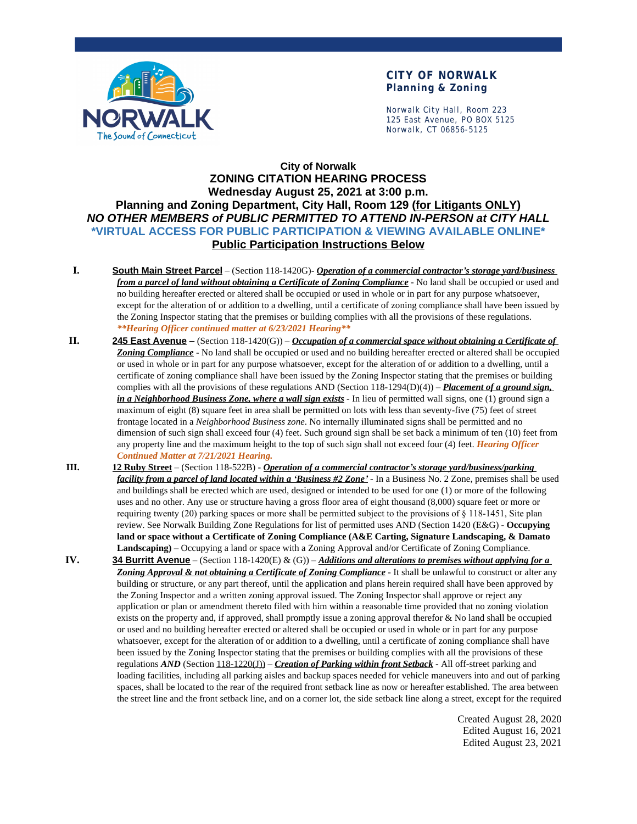

### **CITY OF NORWALK Planning & Zoning**

Norwalk City Hall, Room 223 125 East Avenue, PO BOX 5125 Norwalk, CT 06856-5125

## **City of Norwalk ZONING CITATION HEARING PROCESS Wednesday August 25, 2021 at 3:00 p.m. Planning and Zoning Department, City Hall, Room 129 (for Litigants ONLY)** *NO OTHER MEMBERS of PUBLIC PERMITTED TO ATTEND IN-PERSON at CITY HALL* **\*VIRTUAL ACCESS FOR PUBLIC PARTICIPATION & VIEWING AVAILABLE ONLINE\* Public Participation Instructions Below**

- **I. South Main Street Parcel** (Section 118-1420G)- *Operation of a commercial contractor's storage yard/business from a parcel of land without obtaining a Certificate of Zoning Compliance* - No land shall be occupied or used and no building hereafter erected or altered shall be occupied or used in whole or in part for any purpose whatsoever, except for the alteration of or addition to a dwelling, until a certificate of zoning compliance shall have been issued by the Zoning Inspector stating that the premises or building complies with all the provisions of these regulations. *\*\*Hearing Officer continued matter at 6/23/2021 Hearing\*\**
- **II. 245 East Avenue** (Section 118-1420(G)) *Occupation of a commercial space without obtaining a Certificate of Zoning Compliance* - No land shall be occupied or used and no building hereafter erected or altered shall be occupied or used in whole or in part for any purpose whatsoever, except for the alteration of or addition to a dwelling, until a certificate of zoning compliance shall have been issued by the Zoning Inspector stating that the premises or building complies with all the provisions of these regulations AND (Section 118-1294(D)(4)) – *Placement of a ground sign, in a Neighborhood Business Zone, where a wall sign exists* - In lieu of permitted wall signs, one (1) ground sign a maximum of eight (8) square feet in area shall be permitted on lots with less than seventy-five (75) feet of street frontage located in a *Neighborhood Business zone*. No internally illuminated signs shall be permitted and no dimension of such sign shall exceed four (4) feet. Such ground sign shall be set back a minimum of ten (10) feet from any property line and the maximum height to the top of such sign shall not exceed four (4) feet. *Hearing Officer Continued Matter at 7/21/2021 Hearing.*
- **III. 12 Ruby Street** (Section 118-522B) *Operation of a commercial contractor's storage yard/business/parking facility from a parcel of land located within a 'Business #2 Zone'* - In a Business No. 2 Zone, premises shall be used and buildings shall be erected which are used, designed or intended to be used for one (1) or more of the following uses and no other. Any use or structure having a gross floor area of eight thousand (8,000) square feet or more or requiring twenty (20) parking spaces or more shall be permitted subject to the provisions of § 118-1451, Site plan review. See Norwalk Building Zone Regulations for list of permitted uses AND (Section 1420 (E&G) - **Occupying land or space without a Certificate of Zoning Compliance (A&E Carting, Signature Landscaping, & Damato Landscaping)** – Occupying a land or space with a Zoning Approval and/or Certificate of Zoning Compliance.
- **IV. 34 Burritt Avenue** (Section 118-1420(E) & (G)) *Additions and alterations to premises without applying for a Zoning Approval & not obtaining a Certificate of Zoning Compliance* - It shall be unlawful to construct or alter any building or structure, or any part thereof, until the application and plans herein required shall have been approved by the Zoning Inspector and a written zoning approval issued. The Zoning Inspector shall approve or reject any application or plan or amendment thereto filed with him within a reasonable time provided that no zoning violation exists on the property and, if approved, shall promptly issue a zoning approval therefor & No land shall be occupied or used and no building hereafter erected or altered shall be occupied or used in whole or in part for any purpose whatsoever, except for the alteration of or addition to a dwelling, until a certificate of zoning compliance shall have been issued by the Zoning Inspector stating that the premises or building complies with all the provisions of these regulations *AND* (Section 118-1220(J)) – *Creation of Parking within front Setback* - All off-street parking and loading facilities, including all parking aisles and backup spaces needed for vehicle maneuvers into and out of parking spaces, shall be located to the rear of the required front setback line as now or hereafter established. The area between the street line and the front setback line, and on a corner lot, the side setback line along a street, except for the required

Created August 28, 2020 Edited August 16, 2021 Edited August 23, 2021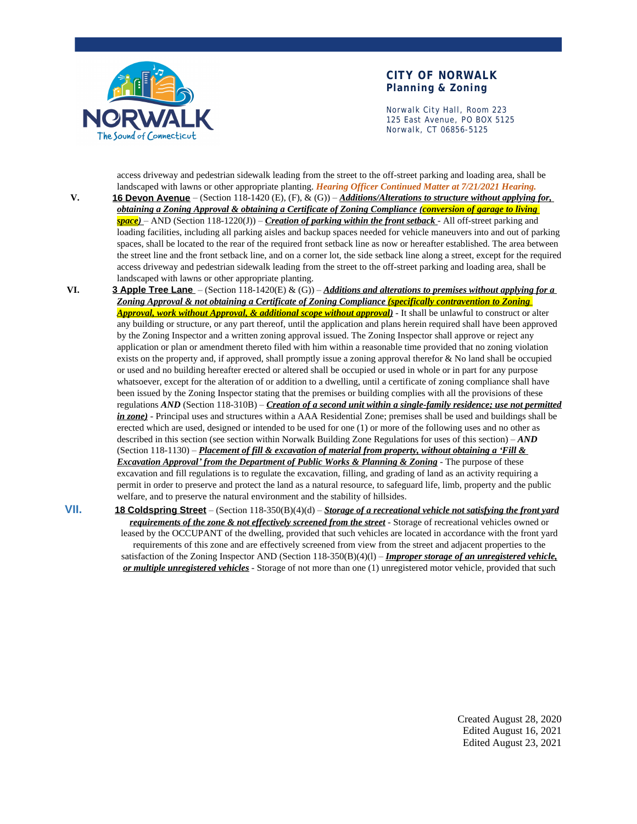

#### **CITY OF NORWALK Planning & Zoning**

Norwalk City Hall, Room 223 125 East Avenue, PO BOX 5125 Norwalk, CT 06856-5125

access driveway and pedestrian sidewalk leading from the street to the off-street parking and loading area, shall be landscaped with lawns or other appropriate planting. *Hearing Officer Continued Matter at 7/21/2021 Hearing.*

**V. 16 Devon Avenue** – (Section 118-1420 (E), (F), & (G)) – *Additions/Alterations to structure without applying for, obtaining a Zoning Approval & obtaining a Certificate of Zoning Compliance (conversion of garage to living space)* – AND (Section 118-1220(J)) – *Creation of parking within the front setback* - All off-street parking and loading facilities, including all parking aisles and backup spaces needed for vehicle maneuvers into and out of parking spaces, shall be located to the rear of the required front setback line as now or hereafter established. The area between the street line and the front setback line, and on a corner lot, the side setback line along a street, except for the required access driveway and pedestrian sidewalk leading from the street to the off-street parking and loading area, shall be landscaped with lawns or other appropriate planting.

**VI. 3 Apple Tree Lane** – (Section 118-1420(E) & (G)) – *Additions and alterations to premises without applying for a Zoning Approval & not obtaining a Certificate of Zoning Compliance (specifically contravention to Zoning Approval, work without Approval, & additional scope without approval)* - It shall be unlawful to construct or alter any building or structure, or any part thereof, until the application and plans herein required shall have been approved by the Zoning Inspector and a written zoning approval issued. The Zoning Inspector shall approve or reject any application or plan or amendment thereto filed with him within a reasonable time provided that no zoning violation exists on the property and, if approved, shall promptly issue a zoning approval therefor & No land shall be occupied or used and no building hereafter erected or altered shall be occupied or used in whole or in part for any purpose whatsoever, except for the alteration of or addition to a dwelling, until a certificate of zoning compliance shall have been issued by the Zoning Inspector stating that the premises or building complies with all the provisions of these regulations *AND* (Section 118-310B) – *Creation of a second unit within a single-family residence; use not permitted in zone)* - Principal uses and structures within a AAA Residential Zone; premises shall be used and buildings shall be erected which are used, designed or intended to be used for one (1) or more of the following uses and no other as described in this section (see section within Norwalk Building Zone Regulations for uses of this section) – *AND* (Section 118-1130) – *Placement of fill & excavation of material from property, without obtaining a 'Fill & Excavation Approval' from the Department of Public Works & Planning & Zoning* - The purpose of these excavation and fill regulations is to regulate the excavation, filling, and grading of land as an activity requiring a permit in order to preserve and protect the land as a natural resource, to safeguard life, limb, property and the public welfare, and to preserve the natural environment and the stability of hillsides.

**VII. 18 Coldspring Street** – (Section 118-350(B)(4)(d) – *Storage of a recreational vehicle not satisfying the front yard requirements of the zone & not effectively screened from the street* - Storage of recreational vehicles owned or leased by the OCCUPANT of the dwelling, provided that such vehicles are located in accordance with the front yard requirements of this zone and are effectively screened from view from the street and adjacent properties to the satisfaction of the Zoning Inspector AND (Section 118-350(B)(4)(l) – *Improper storage of an unregistered vehicle, or multiple unregistered vehicles* - Storage of not more than one (1) unregistered motor vehicle, provided that such

> Created August 28, 2020 Edited August 16, 2021 Edited August 23, 2021